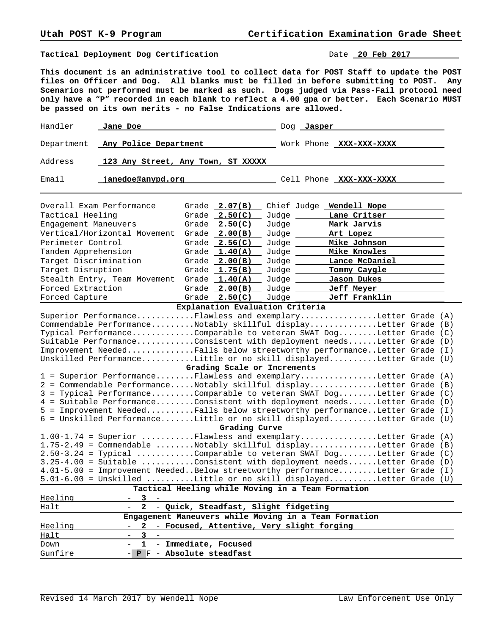**Tactical Deployment Dog Certification** Date **20 Feb 2017** 

**This document is an administrative tool to collect data for POST Staff to update the POST files on Officer and Dog. All blanks must be filled in before submitting to POST. Any Scenarios not performed must be marked as such. Dogs judged via Pass-Fail protocol need only have a "P" recorded in each blank to reflect a 4.00 gpa or better. Each Scenario MUST be passed on its own merits - no False Indications are allowed.**

| Handler                                                                                                                                                                                                                                                                                                                                                                                                                              | Jane Doe                           |  |                                                    |             | Dog <b>Jasper</b>                                                                                                                                                                                                                                                                                                                                                                                                                                                                                                                                                                                                                                                                                                                                                                                                                                                              |  |
|--------------------------------------------------------------------------------------------------------------------------------------------------------------------------------------------------------------------------------------------------------------------------------------------------------------------------------------------------------------------------------------------------------------------------------------|------------------------------------|--|----------------------------------------------------|-------------|--------------------------------------------------------------------------------------------------------------------------------------------------------------------------------------------------------------------------------------------------------------------------------------------------------------------------------------------------------------------------------------------------------------------------------------------------------------------------------------------------------------------------------------------------------------------------------------------------------------------------------------------------------------------------------------------------------------------------------------------------------------------------------------------------------------------------------------------------------------------------------|--|
| Department                                                                                                                                                                                                                                                                                                                                                                                                                           | Any Police Department              |  |                                                    |             | Work Phone XXX-XXX-XXXX                                                                                                                                                                                                                                                                                                                                                                                                                                                                                                                                                                                                                                                                                                                                                                                                                                                        |  |
| Address                                                                                                                                                                                                                                                                                                                                                                                                                              | 123 Any Street, Any Town, ST XXXXX |  |                                                    |             |                                                                                                                                                                                                                                                                                                                                                                                                                                                                                                                                                                                                                                                                                                                                                                                                                                                                                |  |
| Email                                                                                                                                                                                                                                                                                                                                                                                                                                | janedoe@anypd.org                  |  |                                                    |             | Cell Phone XXX-XXX-XXXX                                                                                                                                                                                                                                                                                                                                                                                                                                                                                                                                                                                                                                                                                                                                                                                                                                                        |  |
|                                                                                                                                                                                                                                                                                                                                                                                                                                      | Overall Exam Performance           |  | Grade $2.07(B)$                                    | Chief Judge | Wendell Nope                                                                                                                                                                                                                                                                                                                                                                                                                                                                                                                                                                                                                                                                                                                                                                                                                                                                   |  |
| Tactical Heeling                                                                                                                                                                                                                                                                                                                                                                                                                     |                                    |  | Grade $2.50(C)$                                    | Judge       | Lane Critser                                                                                                                                                                                                                                                                                                                                                                                                                                                                                                                                                                                                                                                                                                                                                                                                                                                                   |  |
| Engagement Maneuvers                                                                                                                                                                                                                                                                                                                                                                                                                 |                                    |  | Grade $2.50(C)$                                    | Judge _____ | Mark Jarvis                                                                                                                                                                                                                                                                                                                                                                                                                                                                                                                                                                                                                                                                                                                                                                                                                                                                    |  |
|                                                                                                                                                                                                                                                                                                                                                                                                                                      | Vertical/Horizontal Movement       |  | Grade $2.00(B)$                                    | Judge __    | Art Lopez                                                                                                                                                                                                                                                                                                                                                                                                                                                                                                                                                                                                                                                                                                                                                                                                                                                                      |  |
| Perimeter Control                                                                                                                                                                                                                                                                                                                                                                                                                    |                                    |  | Grade $2.56(C)$                                    | Judge __    | Mike Johnson                                                                                                                                                                                                                                                                                                                                                                                                                                                                                                                                                                                                                                                                                                                                                                                                                                                                   |  |
| Tandem Apprehension                                                                                                                                                                                                                                                                                                                                                                                                                  |                                    |  | Grade $1.40(A)$                                    | Judge       | Mike Knowles                                                                                                                                                                                                                                                                                                                                                                                                                                                                                                                                                                                                                                                                                                                                                                                                                                                                   |  |
| Target Discrimination                                                                                                                                                                                                                                                                                                                                                                                                                |                                    |  | Grade $2.00(B)$                                    | Judge __    | Lance McDaniel                                                                                                                                                                                                                                                                                                                                                                                                                                                                                                                                                                                                                                                                                                                                                                                                                                                                 |  |
| Target Disruption                                                                                                                                                                                                                                                                                                                                                                                                                    |                                    |  | Grade $1.75(B)$                                    | Judge _____ | Tommy Caygle                                                                                                                                                                                                                                                                                                                                                                                                                                                                                                                                                                                                                                                                                                                                                                                                                                                                   |  |
|                                                                                                                                                                                                                                                                                                                                                                                                                                      | Stealth Entry, Team Movement       |  | Grade $1.40(A)$                                    | Judge       | Jason Dukes                                                                                                                                                                                                                                                                                                                                                                                                                                                                                                                                                                                                                                                                                                                                                                                                                                                                    |  |
| Forced Extraction                                                                                                                                                                                                                                                                                                                                                                                                                    |                                    |  | Grade $2.00(B)$                                    | Judge __    | <b>Jeff Meyer</b>                                                                                                                                                                                                                                                                                                                                                                                                                                                                                                                                                                                                                                                                                                                                                                                                                                                              |  |
| Forced Capture                                                                                                                                                                                                                                                                                                                                                                                                                       |                                    |  | Grade $2.50(C)$<br>Explanation Evaluation Criteria | Judge       | Jeff Franklin                                                                                                                                                                                                                                                                                                                                                                                                                                                                                                                                                                                                                                                                                                                                                                                                                                                                  |  |
|                                                                                                                                                                                                                                                                                                                                                                                                                                      |                                    |  | Grading Scale or Increments                        |             | Superior PerformanceFlawless and exemplaryLetter Grade (A)<br>Commendable PerformanceNotably skillful displayLetter Grade (B)<br>Typical PerformanceComparable to veteran SWAT DogLetter Grade (C)<br>Suitable PerformanceConsistent with deployment needsLetter Grade (D)<br>Improvement NeededFalls below streetworthy performanceLetter Grade (I)<br>Unskilled PerformanceLittle or no skill displayedLetter Grade (U)<br>1 = Superior PerformanceFlawless and exemplaryLetter Grade (A)<br>2 = Commendable PerformanceNotably skillful displayLetter Grade (B)<br>3 = Typical PerformanceComparable to veteran SWAT DogLetter Grade (C)<br>4 = Suitable PerformanceConsistent with deployment needsLetter Grade (D)<br>5 = Improvement NeededFalls below streetworthy performanceLetter Grade (I)<br>6 = Unskilled PerformanceLittle or no skill displayedLetter Grade (U) |  |
| Grading Curve                                                                                                                                                                                                                                                                                                                                                                                                                        |                                    |  |                                                    |             |                                                                                                                                                                                                                                                                                                                                                                                                                                                                                                                                                                                                                                                                                                                                                                                                                                                                                |  |
| 1.00-1.74 = Superior Flawless and exemplaryLetter Grade (A)<br>1.75-2.49 = Commendable Notably skillful displayLetter Grade (B)<br>2.50-3.24 = Typical Comparable to veteran SWAT DogLetter Grade (C)<br>3.25-4.00 = Suitable Consistent with deployment needsLetter Grade (D)<br>4.01-5.00 = Improvement NeededBelow streetworthy performanceLetter Grade (I)<br>5.01-6.00 = Unskilled Little or no skill displayedLetter Grade (U) |                                    |  |                                                    |             |                                                                                                                                                                                                                                                                                                                                                                                                                                                                                                                                                                                                                                                                                                                                                                                                                                                                                |  |
|                                                                                                                                                                                                                                                                                                                                                                                                                                      |                                    |  |                                                    |             | Tactical Heeling while Moving in a Team Formation                                                                                                                                                                                                                                                                                                                                                                                                                                                                                                                                                                                                                                                                                                                                                                                                                              |  |
| Heeling<br>Halt                                                                                                                                                                                                                                                                                                                                                                                                                      | 3<br>$\mathbf{2}$                  |  | - Quick, Steadfast, Slight fidgeting               |             |                                                                                                                                                                                                                                                                                                                                                                                                                                                                                                                                                                                                                                                                                                                                                                                                                                                                                |  |
|                                                                                                                                                                                                                                                                                                                                                                                                                                      |                                    |  |                                                    |             | Engagement Maneuvers while Moving in a Team Formation                                                                                                                                                                                                                                                                                                                                                                                                                                                                                                                                                                                                                                                                                                                                                                                                                          |  |
| Heeling<br>Halt<br>Down                                                                                                                                                                                                                                                                                                                                                                                                              | 2<br>3<br>1<br>$-$                 |  | - Immediate, Focused                               |             | - Focused, Attentive, Very slight forging                                                                                                                                                                                                                                                                                                                                                                                                                                                                                                                                                                                                                                                                                                                                                                                                                                      |  |
| Gunfire                                                                                                                                                                                                                                                                                                                                                                                                                              | - P F - Absolute steadfast         |  |                                                    |             |                                                                                                                                                                                                                                                                                                                                                                                                                                                                                                                                                                                                                                                                                                                                                                                                                                                                                |  |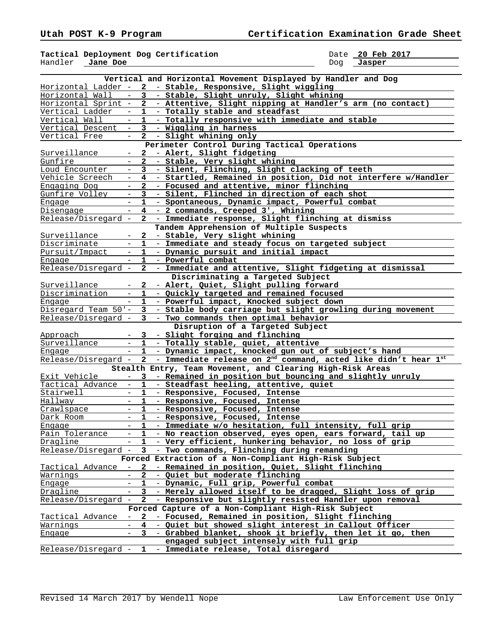**Tactical Deployment Dog Certification** Date **20 Feb 2017**  Handler **Jane Doe** Dog **Jasper** 

|                     |                          |                | Vertical and Horizontal Movement Displayed by Handler and Dog              |
|---------------------|--------------------------|----------------|----------------------------------------------------------------------------|
|                     |                          |                | Horizontal Ladder - 2 - Stable, Responsive, Slight wiggling                |
| Horizontal Wall     |                          | 3              | - Stable, Slight unruly, Slight whining                                    |
| Horizontal Sprint - |                          | $\mathbf{2}$   | - Attentive, Slight nipping at Handler's arm (no contact)                  |
| Vertical Ladder     | $-$                      | $\mathbf{1}$   | - Totally stable and steadfast                                             |
| Vertical Wall       | $\overline{\phantom{a}}$ | $\mathbf{1}$   | - Totally responsive with immediate and stable                             |
| Vertical Descent    |                          | 3              | - Wiggling in harness                                                      |
| Vertical Free       | $ \,$                    | $\mathbf{2}$   | - Slight whining only                                                      |
|                     |                          |                | Perimeter Control During Tactical Operations                               |
| Surveillance        |                          | $\mathbf{2}$   | - Alert, Slight fidgeting                                                  |
| Gunfire             |                          | 2              | - Stable, Very slight whining                                              |
| Loud Encounter      | $-$                      | $3^{\circ}$    | - Silent, Flinching, Slight clacking of teeth                              |
| Vehicle Screech     | $\overline{\phantom{a}}$ | $\overline{4}$ | - Startled, Remained in position, Did not interfere w/Handler              |
| Engaging Dog        |                          | $\mathbf{2}$   | - Focused and attentive, minor flinching                                   |
| Gunfire Volley      | $\equiv$                 | 3              | - Silent, Flinched in direction of each shot                               |
| Engage              |                          | 1.             | - Spontaneous, Dynamic impact, Powerful combat                             |
| Disengage           | $\overline{\phantom{m}}$ | 4              | - 2 commands, Creeped 3', Whining                                          |
| Release/Disregard - |                          | $\mathbf{2}$   | - Immediate response, Slight flinching at dismiss                          |
|                     |                          |                | Tandem Apprehension of Multiple Suspects                                   |
|                     |                          | $\mathbf{2}$   |                                                                            |
| Surveillance        |                          |                | - Stable, Very slight whining                                              |
| Discriminate        | $\overline{a}$           | 1              | - Immediate and steady focus on targeted subject                           |
| Pursuit/Impact      |                          | 1              | - Dynamic pursuit and initial impact                                       |
| Engage              |                          | 1              | - Powerful combat                                                          |
| Release/Disregard   | $\overline{\phantom{a}}$ | 2              | - Immediate and attentive, Slight fidgeting at dismissal                   |
|                     |                          |                | Discriminating a Targeted Subject                                          |
| Surveillance        | $\overline{\phantom{a}}$ | $\mathbf{2}$   | - Alert, Quiet, Slight pulling forward                                     |
| Discrimination      |                          | 1              | - Quickly targeted and remained focused                                    |
| Engage              |                          | $\mathbf{1}$   | - Powerful impact, Knocked subject down                                    |
| Disregard Team 50'- |                          | 3 <sup>7</sup> | - Stable body carriage but slight growling during movement                 |
| Release/Disregard - |                          | 3              | - Two commands then optimal behavior                                       |
|                     |                          |                | Disruption of a Targeted Subject                                           |
| Approach            |                          | 3              | - Slight forging and flinching                                             |
| Surveillance        | $\equiv$                 | $\mathbf{1}$   | - Totally stable, quiet, attentive                                         |
| Engage              | $\overline{\phantom{a}}$ | $\mathbf{1}$   | - Dynamic impact, knocked gun out of subject's hand                        |
| Release/Disregard - |                          | $\mathbf{2}$   | - Immediate release on 2 <sup>nd</sup> command, acted like didn't hear 1st |
|                     |                          |                | Stealth Entry, Team Movement, and Clearing High-Risk Areas                 |
| Exit Vehicle        | $\equiv$                 | $3^{\circ}$    | - Remained in position but bouncing and slightly unruly                    |
| Tactical Advance    | $\overline{\phantom{a}}$ | 1              | - Steadfast heeling, attentive, quiet                                      |
| Stairwell           |                          | 1              | - Responsive, Focused, Intense                                             |
| Hallway             | $\equiv$                 | 1              | - Responsive, Focused, Intense                                             |
| Crawlspace          | $\overline{\phantom{m}}$ | 1              | - Responsive, Focused, Intense                                             |
| Dark Room           | $\overline{\phantom{0}}$ | 1              | - Responsive, Focused, Intense                                             |
| Engage              | $\equiv$                 | 1              | - Immediate w/o hesitation, full intensity, full grip                      |
| Pain Tolerance      |                          | 1              | - No reaction observed, eyes open, ears forward, tail up                   |
| Dragline            |                          | 1              | - Very efficient, hunkering behavior, no loss of grip                      |
| Release/Disregard - |                          | 3              | - Two commands, Flinching during remanding                                 |
|                     |                          |                | Forced Extraction of a Non-Compliant High-Risk Subject                     |
| Tactical Advance    | $\overline{\phantom{a}}$ | 2              | - Remained in position, Quiet, Slight flinching                            |
| Warnings            |                          | 2              | - Quiet but moderate flinching                                             |
| Engage              |                          | 1              | - Dynamic, Full grip, Powerful combat                                      |
| Dragline            | $\overline{\phantom{a}}$ | $\mathbf{3}$   | - Merely allowed itself to be dragged, Slight loss of grip                 |
| Release/Disregard   | $\overline{\phantom{a}}$ | 2              | - Responsive but slightly resisted Handler upon removal                    |
|                     |                          |                | Forced Capture of a Non-Compliant High-Risk Subject                        |
| Tactical Advance    | $\overline{\phantom{a}}$ | $\mathbf{2}$   | - Focused, Remained in position, Slight flinching                          |
| Warnings            |                          | 4              | - Quiet but showed slight interest in Callout Officer                      |
| Engage              | $\equiv$                 | 3              | - Grabbed blanket, shook it briefly, then let it go, then                  |
|                     |                          |                | engaged subject intensely with full grip                                   |
| Release/Disregard - |                          | $\mathbf{1}$   | - Immediate release, Total disregard                                       |
|                     |                          |                |                                                                            |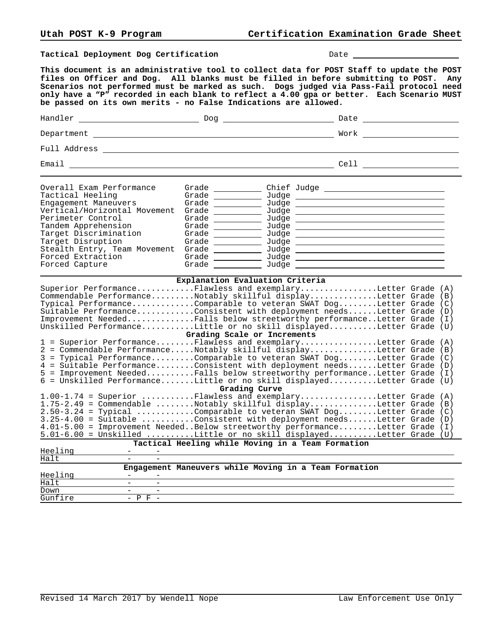Tactical Deployment Dog Certification **Date** Date **Date** 2014

Forced Capture Grade Judge

**This document is an administrative tool to collect data for POST Staff to update the POST files on Officer and Dog. All blanks must be filled in before submitting to POST. Any Scenarios not performed must be marked as such. Dogs judged via Pass-Fail protocol need only have a "P" recorded in each blank to reflect a 4.00 gpa or better. Each Scenario MUST be passed on its own merits - no False Indications are allowed.**

| Handler                                                                                                                                                                   | Dog                                                                                                                                                                                                                                                                                                                                                                                                                                                      | Date                     |
|---------------------------------------------------------------------------------------------------------------------------------------------------------------------------|----------------------------------------------------------------------------------------------------------------------------------------------------------------------------------------------------------------------------------------------------------------------------------------------------------------------------------------------------------------------------------------------------------------------------------------------------------|--------------------------|
| Department                                                                                                                                                                |                                                                                                                                                                                                                                                                                                                                                                                                                                                          | Work <u>______</u>       |
|                                                                                                                                                                           |                                                                                                                                                                                                                                                                                                                                                                                                                                                          |                          |
|                                                                                                                                                                           |                                                                                                                                                                                                                                                                                                                                                                                                                                                          |                          |
| Overall Exam Performance<br>Tactical Heeling<br>Engagement Maneuvers<br>Vertical/Horizontal Movement<br>Perimeter Control<br>Tandem Apprehension<br>Target Discrimination | Grade $\_\_$<br>Grade $\qquad$<br>Grade $\qquad \qquad \qquad$<br>Grade _____________<br>Grade                                                                                                                                                                                                                                                                                                                                                           | $Judge \_$<br>$Judge \_$ |
| Target Disruption<br>Stealth Entry, Team Movement<br>Forced Extraction                                                                                                    | Grade<br>Grade $\frac{1}{\sqrt{1-\frac{1}{2}}\cdot\frac{1}{\sqrt{1-\frac{1}{2}}\cdot\frac{1}{2}}\cdot\frac{1}{\sqrt{1-\frac{1}{2}}\cdot\frac{1}{2}}\cdot\frac{1}{\sqrt{1-\frac{1}{2}}\cdot\frac{1}{2}}\cdot\frac{1}{\sqrt{1-\frac{1}{2}}\cdot\frac{1}{2}}\cdot\frac{1}{\sqrt{1-\frac{1}{2}}\cdot\frac{1}{2}}\cdot\frac{1}{\sqrt{1-\frac{1}{2}}\cdot\frac{1}{2}}\cdot\frac{1}{\sqrt{1-\frac{1}{2}}\cdot\frac{1}{2}}\cdot\frac{1}{\sqrt$<br>Grade $\qquad$ | Judge ____________       |

| Superior PerformanceFlawless and exemplaryLetter Grade (A)<br>Commendable PerformanceNotably skillful displayLetter Grade (B)<br>Typical PerformanceComparable to veteran SWAT DogLetter Grade (C)<br>Suitable PerformanceConsistent with deployment needsLetter Grade (D)<br>Improvement NeededFalls below streetworthy performanceLetter Grade (I)<br>Unskilled PerformanceLittle or no skill displayedLetter Grade (U)                                          |  |  |  |
|--------------------------------------------------------------------------------------------------------------------------------------------------------------------------------------------------------------------------------------------------------------------------------------------------------------------------------------------------------------------------------------------------------------------------------------------------------------------|--|--|--|
| Grading Scale or Increments                                                                                                                                                                                                                                                                                                                                                                                                                                        |  |  |  |
| 1 = Superior PerformanceFlawless and exemplaryLetter Grade (A)<br>2 = Commendable PerformanceNotably skillful displayLetter Grade (B)<br>3 = Typical PerformanceComparable to veteran SWAT DogLetter Grade (C)<br>4 = Suitable PerformanceConsistent with deployment needsLetter Grade (D)<br>5 = Improvement NeededFalls below streetworthy performanceLetter Grade (I)<br>6 = Unskilled PerformanceLittle or no skill displayedLetter Grade (U)<br>Grading Curve |  |  |  |
| $1.00-1.74$ = Superior Flawless and exemplaryLetter Grade (A)                                                                                                                                                                                                                                                                                                                                                                                                      |  |  |  |
| $1.75-2.49$ = Commendable Notably skillful displayLetter Grade (B)<br>$2.50-3.24$ = Typical Comparable to veteran SWAT DogLetter Grade (C)<br>$3.25-4.00$ = Suitable Consistent with deployment needsLetter Grade (D)<br>4.01-5.00 = Improvement NeededBelow streetworthy performanceLetter Grade (I)<br>5.01-6.00 = Unskilled Little or no skill displayedLetter Grade (U)                                                                                        |  |  |  |
| Tactical Heeling while Moving in a Team Formation                                                                                                                                                                                                                                                                                                                                                                                                                  |  |  |  |

| Halt    | -                                                     |
|---------|-------------------------------------------------------|
|         | Engagement Maneuvers while Moving in a Team Formation |
| Heeling | $\overline{\phantom{a}}$                              |
| Halt    |                                                       |
| Down    |                                                       |
| Gunfire | $ \cup$<br>$\overline{\phantom{0}}$                   |

Heeling